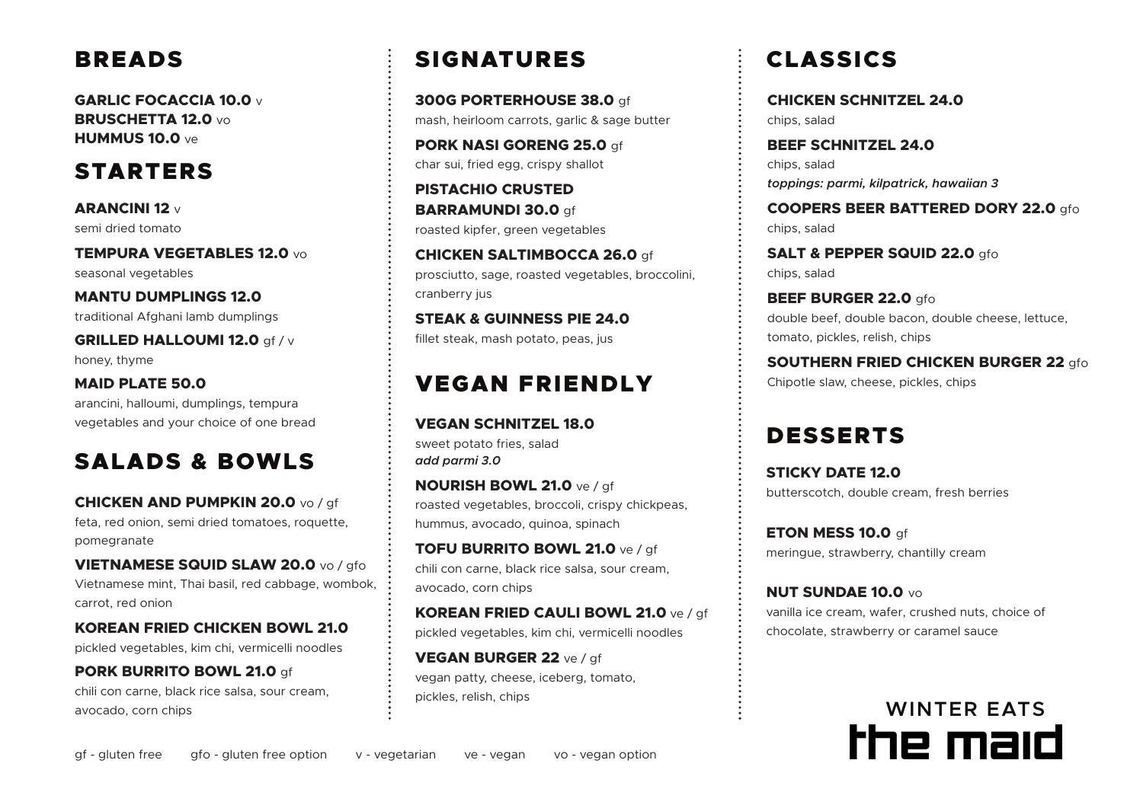#### BREADS

**GARLIC FOCACCIA 10.0** v **BRUSCHETTA 12.0** vo **HUMMUS 10.0** ve

#### STARTERS

**ARANCINI 12** v semi dried tomato

**TEMPURA VEGETABLES 12.0** vo seasonal vegetables

**MANTU DUMPLINGS 12.0** traditional Afghani lamb dumplings

**GRILLED HALLOUMI 12.0** gf / v honey, thyme

**MAID PLATE 50.0** arancini, halloumi, dumplings, tempura vegetables and your choice of one bread

#### SALADS & BOWLS

**CHICKEN AND PUMPKIN 20.0** vo / gf feta, red onion, semi dried tomatoes, roquette, pomegranate

**VIETNAMESE SQUID SLAW 20.0** vo / gfo Vietnamese mint, Thai basil, red cabbage, wombok, carrot, red onion

**KOREAN FRIED CHICKEN BOWL 21.0** pickled vegetables, kim chi, vermicelli noodles

**PORK BURRITO BOWL 21.0** gf chili con carne, black rice salsa, sour cream, avocado, corn chips

## SIGNATURES

**300G PORTERHOUSE 38.0** gf mash, heirloom carrots, garlic & sage butter

**PORK NASI GORENG 25.0** gf char sui, fried egg, crispy shallot

**PISTACHIO CRUSTED BARRAMUNDI 30.0** gf roasted kipfer, green vegetables

**CHICKEN SALTIMBOCCA 26.0** gf prosciutto, sage, roasted vegetables, broccolini, cranberry jus

**STEAK & GUINNESS PIE 24.0** fillet steak, mash potato, peas, jus

#### VEGAN FRIENDLY

**VEGAN SCHNITZEL 18.0** sweet potato fries, salad *add parmi 3.0*

**NOURISH BOWL 21.0** ve / gf roasted vegetables, broccoli, crispy chickpeas, hummus, avocado, quinoa, spinach

**TOFU BURRITO BOWL 21.0** ve / gf chili con carne, black rice salsa, sour cream, avocado, corn chips

**KOREAN FRIED CAULI BOWL 21.0** ve / gf pickled vegetables, kim chi, vermicelli noodles

**VEGAN BURGER 22** ve / gf vegan patty, cheese, iceberg, tomato, pickles, relish, chips

# CLASSICS

**CHICKEN SCHNITZEL 24.0** chips, salad

**BEEF SCHNITZEL 24.0** chips, salad *toppings: parmi, kilpatrick, hawaiian 3*

**COOPERS BEER BATTERED DORY 22.0** gfo chips, salad

**SALT & PEPPER SQUID 22.0** gfo chips, salad

**BEEF BURGER 22.0** gfo double beef, double bacon, double cheese, lettuce, tomato, pickles, relish, chips

**SOUTHERN FRIED CHICKEN BURGER 22** gfo Chipotle slaw, cheese, pickles, chips

### DESSERTS

**STICKY DATE 12.0** butterscotch, double cream, fresh berries

**ETON MESS 10.0** gf meringue, strawberry, chantilly cream

**NUT SUNDAE 10.0** vo vanilla ice cream, wafer, crushed nuts, choice of chocolate, strawberry or caramel sauce



gf - gluten free gfo - gluten free option v - vegetarian ve - vegan vo - vegan option